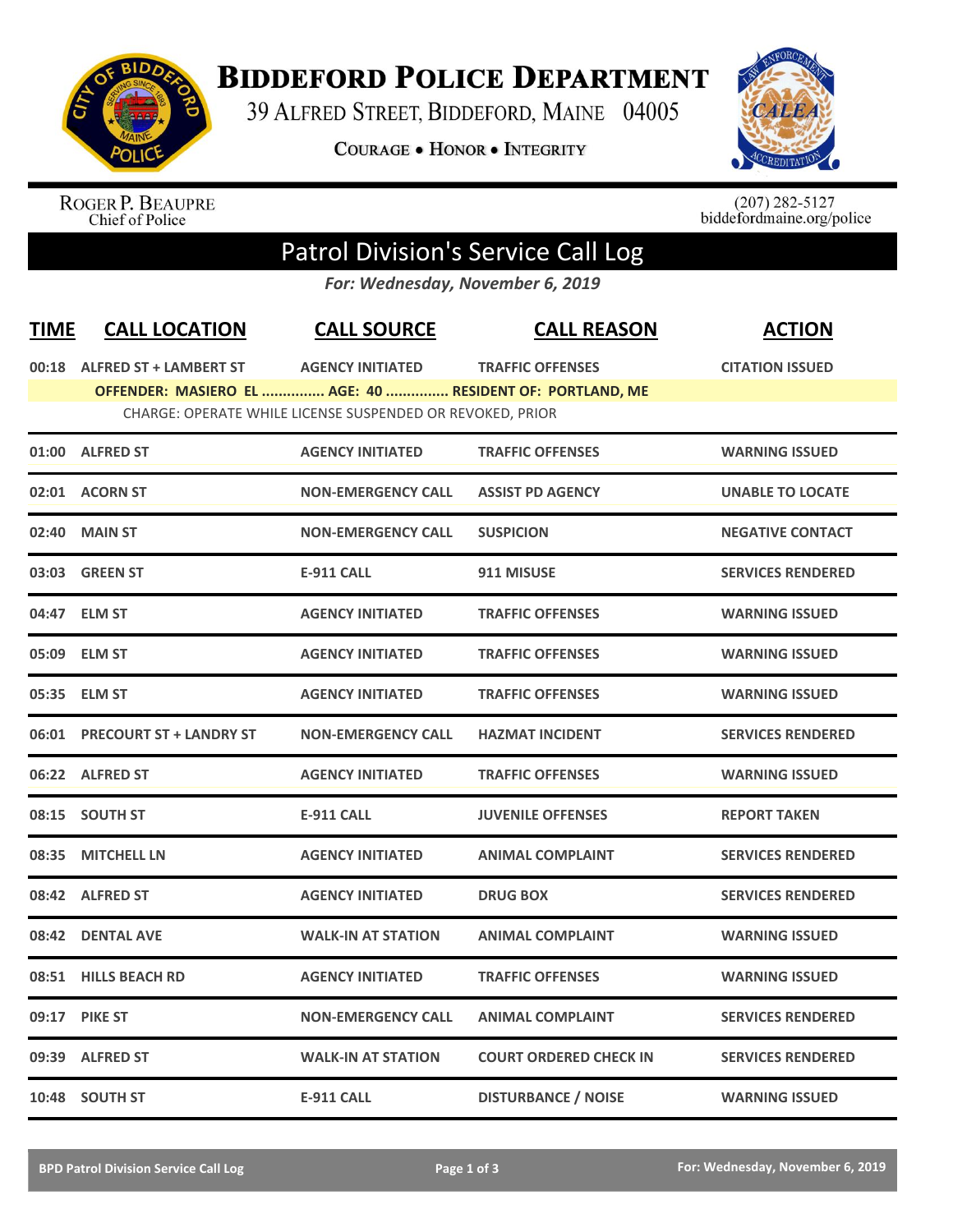

## **BIDDEFORD POLICE DEPARTMENT**

39 ALFRED STREET, BIDDEFORD, MAINE 04005

**COURAGE . HONOR . INTEGRITY** 



ROGER P. BEAUPRE<br>Chief of Police

 $(207)$  282-5127<br>biddefordmaine.org/police

## Patrol Division's Service Call Log

*For: Wednesday, November 6, 2019*

| <b>TIME</b>                                               | <b>CALL LOCATION</b>                                     | <b>CALL SOURCE</b>        | <b>CALL REASON</b>            | <b>ACTION</b>            |  |  |  |  |
|-----------------------------------------------------------|----------------------------------------------------------|---------------------------|-------------------------------|--------------------------|--|--|--|--|
|                                                           | 00:18 ALFRED ST + LAMBERT ST                             | <b>AGENCY INITIATED</b>   | <b>TRAFFIC OFFENSES</b>       | <b>CITATION ISSUED</b>   |  |  |  |  |
|                                                           | OFFENDER: MASIERO EL  AGE: 40  RESIDENT OF: PORTLAND, ME |                           |                               |                          |  |  |  |  |
| CHARGE: OPERATE WHILE LICENSE SUSPENDED OR REVOKED, PRIOR |                                                          |                           |                               |                          |  |  |  |  |
|                                                           | 01:00 ALFRED ST                                          | <b>AGENCY INITIATED</b>   | <b>TRAFFIC OFFENSES</b>       | <b>WARNING ISSUED</b>    |  |  |  |  |
|                                                           | 02:01 ACORN ST                                           | <b>NON-EMERGENCY CALL</b> | <b>ASSIST PD AGENCY</b>       | <b>UNABLE TO LOCATE</b>  |  |  |  |  |
| 02:40                                                     | <b>MAIN ST</b>                                           | <b>NON-EMERGENCY CALL</b> | <b>SUSPICION</b>              | <b>NEGATIVE CONTACT</b>  |  |  |  |  |
|                                                           | 03:03 GREEN ST                                           | <b>E-911 CALL</b>         | 911 MISUSE                    | <b>SERVICES RENDERED</b> |  |  |  |  |
|                                                           | 04:47 ELM ST                                             | <b>AGENCY INITIATED</b>   | <b>TRAFFIC OFFENSES</b>       | <b>WARNING ISSUED</b>    |  |  |  |  |
| 05:09                                                     | <b>ELM ST</b>                                            | <b>AGENCY INITIATED</b>   | <b>TRAFFIC OFFENSES</b>       | <b>WARNING ISSUED</b>    |  |  |  |  |
| 05:35                                                     | <b>ELM ST</b>                                            | <b>AGENCY INITIATED</b>   | <b>TRAFFIC OFFENSES</b>       | <b>WARNING ISSUED</b>    |  |  |  |  |
| 06:01                                                     | <b>PRECOURT ST + LANDRY ST</b>                           | <b>NON-EMERGENCY CALL</b> | <b>HAZMAT INCIDENT</b>        | <b>SERVICES RENDERED</b> |  |  |  |  |
|                                                           | 06:22 ALFRED ST                                          | <b>AGENCY INITIATED</b>   | <b>TRAFFIC OFFENSES</b>       | <b>WARNING ISSUED</b>    |  |  |  |  |
|                                                           | 08:15 SOUTH ST                                           | <b>E-911 CALL</b>         | <b>JUVENILE OFFENSES</b>      | <b>REPORT TAKEN</b>      |  |  |  |  |
| 08:35                                                     | <b>MITCHELL LN</b>                                       | <b>AGENCY INITIATED</b>   | <b>ANIMAL COMPLAINT</b>       | <b>SERVICES RENDERED</b> |  |  |  |  |
|                                                           | 08:42 ALFRED ST                                          | <b>AGENCY INITIATED</b>   | <b>DRUG BOX</b>               | <b>SERVICES RENDERED</b> |  |  |  |  |
| 08:42                                                     | <b>DENTAL AVE</b>                                        | <b>WALK-IN AT STATION</b> | <b>ANIMAL COMPLAINT</b>       | <b>WARNING ISSUED</b>    |  |  |  |  |
| 08:51                                                     | <b>HILLS BEACH RD</b>                                    | <b>AGENCY INITIATED</b>   | <b>TRAFFIC OFFENSES</b>       | <b>WARNING ISSUED</b>    |  |  |  |  |
| 09:17                                                     | <b>PIKE ST</b>                                           | <b>NON-EMERGENCY CALL</b> | <b>ANIMAL COMPLAINT</b>       | <b>SERVICES RENDERED</b> |  |  |  |  |
| 09:39                                                     | <b>ALFRED ST</b>                                         | <b>WALK-IN AT STATION</b> | <b>COURT ORDERED CHECK IN</b> | <b>SERVICES RENDERED</b> |  |  |  |  |
|                                                           | 10:48 SOUTH ST                                           | <b>E-911 CALL</b>         | <b>DISTURBANCE / NOISE</b>    | <b>WARNING ISSUED</b>    |  |  |  |  |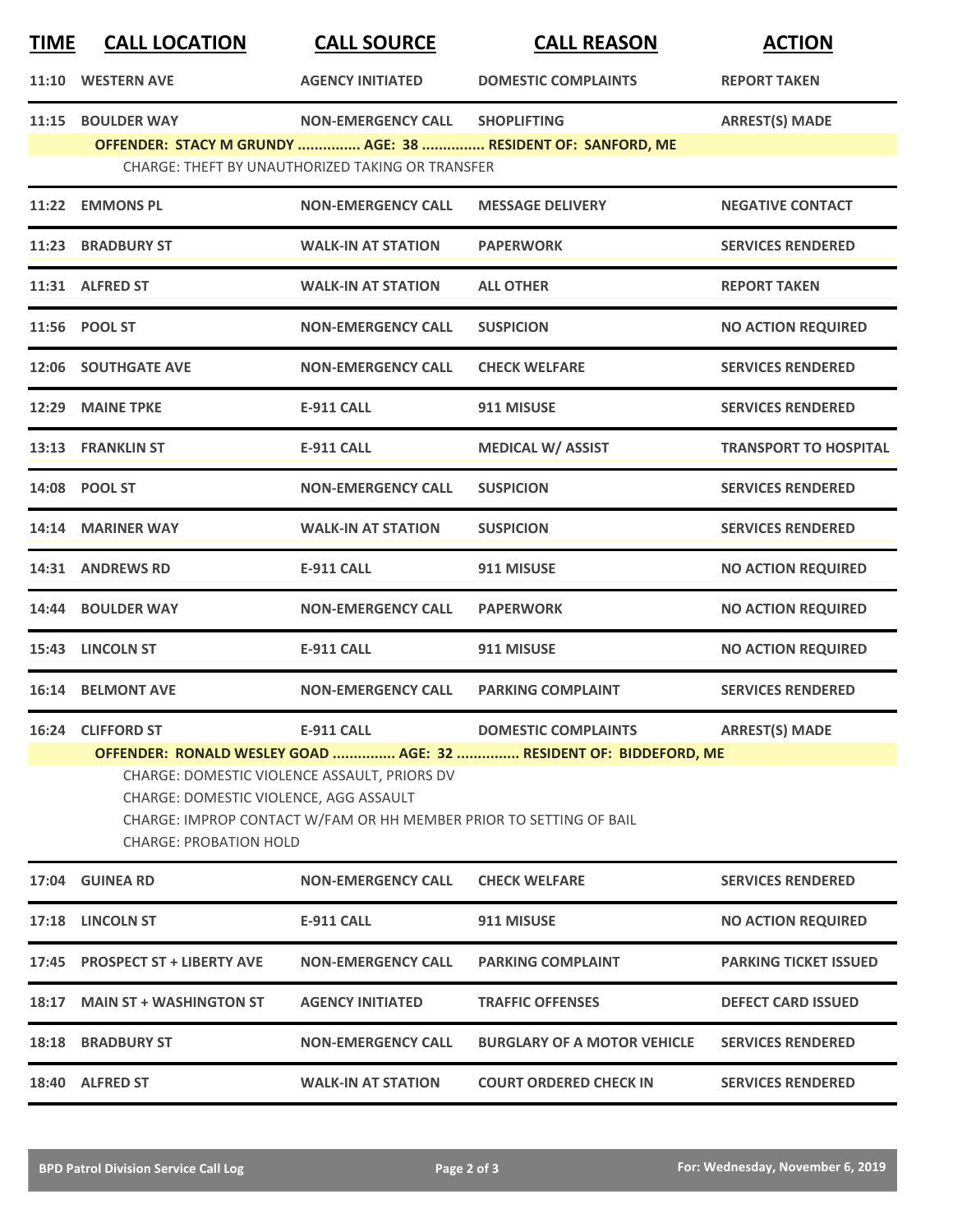| <b>TIME</b> | <b>CALL LOCATION</b>                                                                                                                                                                                                                                        | <b>CALL SOURCE</b>                               | <b>CALL REASON</b>                                          | <b>ACTION</b>                |  |  |
|-------------|-------------------------------------------------------------------------------------------------------------------------------------------------------------------------------------------------------------------------------------------------------------|--------------------------------------------------|-------------------------------------------------------------|------------------------------|--|--|
| 11:10       | <b>WESTERN AVE</b>                                                                                                                                                                                                                                          | <b>AGENCY INITIATED</b>                          | <b>DOMESTIC COMPLAINTS</b>                                  | <b>REPORT TAKEN</b>          |  |  |
| 11:15       | <b>BOULDER WAY</b>                                                                                                                                                                                                                                          | <b>NON-EMERGENCY CALL</b>                        | <b>SHOPLIFTING</b>                                          | <b>ARREST(S) MADE</b>        |  |  |
|             |                                                                                                                                                                                                                                                             | CHARGE: THEFT BY UNAUTHORIZED TAKING OR TRANSFER | OFFENDER: STACY M GRUNDY  AGE: 38  RESIDENT OF: SANFORD, ME |                              |  |  |
|             | 11:22 EMMONS PL                                                                                                                                                                                                                                             | <b>NON-EMERGENCY CALL</b>                        | <b>MESSAGE DELIVERY</b>                                     | <b>NEGATIVE CONTACT</b>      |  |  |
| 11:23       | <b>BRADBURY ST</b>                                                                                                                                                                                                                                          | <b>WALK-IN AT STATION</b>                        | <b>PAPERWORK</b>                                            | <b>SERVICES RENDERED</b>     |  |  |
|             | 11:31 ALFRED ST                                                                                                                                                                                                                                             | <b>WALK-IN AT STATION</b>                        | <b>ALL OTHER</b>                                            | <b>REPORT TAKEN</b>          |  |  |
|             | 11:56 POOL ST                                                                                                                                                                                                                                               | <b>NON-EMERGENCY CALL</b>                        | <b>SUSPICION</b>                                            | <b>NO ACTION REQUIRED</b>    |  |  |
|             | <b>12:06 SOUTHGATE AVE</b>                                                                                                                                                                                                                                  | <b>NON-EMERGENCY CALL</b>                        | <b>CHECK WELFARE</b>                                        | <b>SERVICES RENDERED</b>     |  |  |
| 12:29       | <b>MAINE TPKE</b>                                                                                                                                                                                                                                           | <b>E-911 CALL</b>                                | 911 MISUSE                                                  | <b>SERVICES RENDERED</b>     |  |  |
|             | 13:13 FRANKLIN ST                                                                                                                                                                                                                                           | <b>E-911 CALL</b>                                | <b>MEDICAL W/ ASSIST</b>                                    | <b>TRANSPORT TO HOSPITAL</b> |  |  |
|             | 14:08 POOL ST                                                                                                                                                                                                                                               | <b>NON-EMERGENCY CALL</b>                        | <b>SUSPICION</b>                                            | <b>SERVICES RENDERED</b>     |  |  |
|             | 14:14 MARINER WAY                                                                                                                                                                                                                                           | <b>WALK-IN AT STATION</b>                        | <b>SUSPICION</b>                                            | <b>SERVICES RENDERED</b>     |  |  |
|             | 14:31 ANDREWS RD                                                                                                                                                                                                                                            | <b>E-911 CALL</b>                                | 911 MISUSE                                                  | <b>NO ACTION REQUIRED</b>    |  |  |
| 14:44       | <b>BOULDER WAY</b>                                                                                                                                                                                                                                          | <b>NON-EMERGENCY CALL</b>                        | <b>PAPERWORK</b>                                            | <b>NO ACTION REQUIRED</b>    |  |  |
|             | 15:43 LINCOLN ST                                                                                                                                                                                                                                            | <b>E-911 CALL</b>                                | 911 MISUSE                                                  | <b>NO ACTION REQUIRED</b>    |  |  |
|             | 16:14 BELMONT AVE                                                                                                                                                                                                                                           | <b>NON-EMERGENCY CALL</b>                        | <b>PARKING COMPLAINT</b>                                    | <b>SERVICES RENDERED</b>     |  |  |
|             | 16:24 CLIFFORD ST                                                                                                                                                                                                                                           | <b>E-911 CALL</b>                                | <b>DOMESTIC COMPLAINTS</b>                                  | <b>ARREST(S) MADE</b>        |  |  |
|             | OFFENDER: RONALD WESLEY GOAD  AGE: 32  RESIDENT OF: BIDDEFORD, ME<br>CHARGE: DOMESTIC VIOLENCE ASSAULT, PRIORS DV<br>CHARGE: DOMESTIC VIOLENCE, AGG ASSAULT<br>CHARGE: IMPROP CONTACT W/FAM OR HH MEMBER PRIOR TO SETTING OF BAIL<br>CHARGE: PROBATION HOLD |                                                  |                                                             |                              |  |  |
|             | 17:04 GUINEA RD                                                                                                                                                                                                                                             | <b>NON-EMERGENCY CALL</b>                        | <b>CHECK WELFARE</b>                                        | <b>SERVICES RENDERED</b>     |  |  |
|             | 17:18 LINCOLN ST                                                                                                                                                                                                                                            | <b>E-911 CALL</b>                                | 911 MISUSE                                                  | <b>NO ACTION REQUIRED</b>    |  |  |
|             | 17:45 PROSPECT ST + LIBERTY AVE                                                                                                                                                                                                                             | <b>NON-EMERGENCY CALL</b>                        | <b>PARKING COMPLAINT</b>                                    | <b>PARKING TICKET ISSUED</b> |  |  |
|             | 18:17 MAIN ST + WASHINGTON ST                                                                                                                                                                                                                               | <b>AGENCY INITIATED</b>                          | <b>TRAFFIC OFFENSES</b>                                     | <b>DEFECT CARD ISSUED</b>    |  |  |
|             | <b>18:18 BRADBURY ST</b>                                                                                                                                                                                                                                    | <b>NON-EMERGENCY CALL</b>                        | <b>BURGLARY OF A MOTOR VEHICLE</b>                          | <b>SERVICES RENDERED</b>     |  |  |
|             | 18:40 ALFRED ST                                                                                                                                                                                                                                             | <b>WALK-IN AT STATION</b>                        | <b>COURT ORDERED CHECK IN</b>                               | <b>SERVICES RENDERED</b>     |  |  |